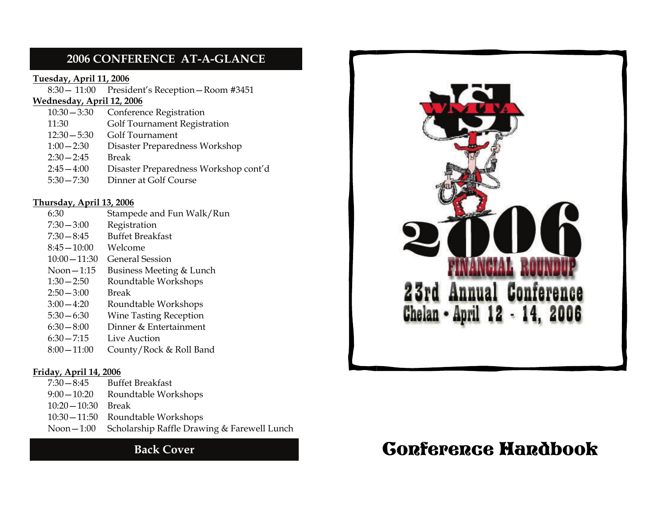### **2006 CONFERENCE AT-A-GLANCE**

#### **Tuesday, April 11, 2006**

8:30— 11:00 President's Reception—Room #3451

#### **Wednesday, April 12, 2006**

| $10:30 - 3:30$ | Conference Registration               |
|----------------|---------------------------------------|
| 11:30          | <b>Golf Tournament Registration</b>   |
| $12:30 - 5:30$ | Golf Tournament                       |
| $1:00 - 2:30$  | Disaster Preparedness Workshop        |
| $2:30 - 2:45$  | <b>Break</b>                          |
| $2:45 - 4:00$  | Disaster Preparedness Workshop cont'd |
| $5:30 - 7:30$  | Dinner at Golf Course                 |
|                |                                       |

#### **Thursday, April 13, 2006**

| 6:30            | Stampede and Fun Walk/Run     |
|-----------------|-------------------------------|
| $7:30 - 3:00$   | Registration                  |
| $7:30 - 8:45$   | <b>Buffet Breakfast</b>       |
| $8:45-10:00$    | Welcome                       |
| $10:00 - 11:30$ | General Session               |
| Noon $-1:15$    | Business Meeting & Lunch      |
| $1:30 - 2:50$   | Roundtable Workshops          |
| $2:50 - 3:00$   | Break                         |
| $3:00 - 4:20$   | Roundtable Workshops          |
| $5:30 - 6:30$   | <b>Wine Tasting Reception</b> |
| $6:30 - 8:00$   | Dinner & Entertainment        |
| $6:30 - 7:15$   | Live Auction                  |
| $8:00 - 11:00$  | County/Rock & Roll Band       |
|                 |                               |

#### **Friday, April 14, 2006**

| $7:30-8:45$         | <b>Buffet Breakfast</b>                                 |
|---------------------|---------------------------------------------------------|
| $9:00-10:20$        | Roundtable Workshops                                    |
| $10:20-10:30$ Break |                                                         |
|                     | 10:30 - 11:50 Roundtable Workshops                      |
|                     | Noon - 1:00 Scholarship Raffle Drawing & Farewell Lunch |
|                     |                                                         |



# Back Cover **CORFERGE HARDBOOK**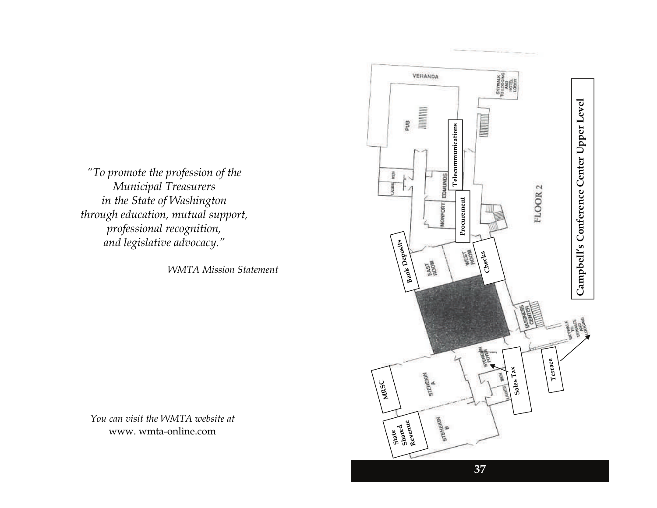*"To promote the profession of the Municipal Treasurers in the State of Washington through education, mutual support, professional recognition, and legislative advocacy."* 

*WMTA Mission Statement* 

*You can visit the WMTA website at*  www. wmta-online.com

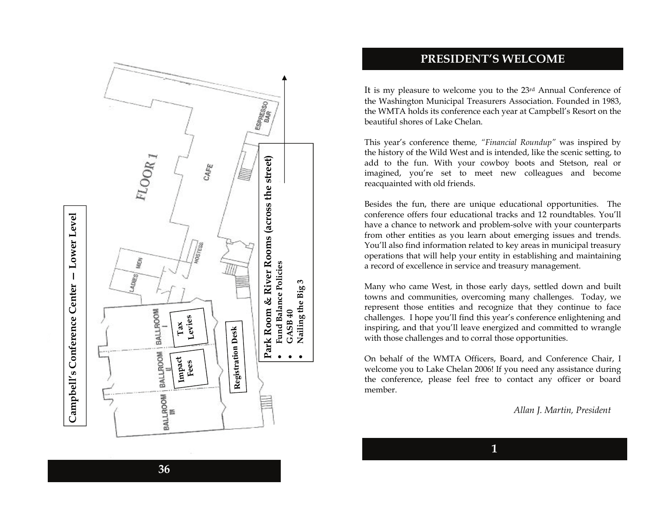

#### **PRESIDENT'S WELCOME**

It is my pleasure to welcome you to the 23rd Annual Conference of the Washington Municipal Treasurers Association. Founded in 1983, the WMTA holds its conference each year at Campbell's Resort on the beautiful shores of Lake Chelan.

This year's conference theme*, "Financial Roundup"* was inspired by the history of the Wild West and is intended, like the scenic setting, to add to the fun. With your cowboy boots and Stetson, real or imagined, you're set to meet new colleagues and become reacquainted with old friends.

Besides the fun, there are unique educational opportunities. The conference offers four educational tracks and 12 roundtables. You'll have a chance to network and problem-solve with your counterparts from other entities as you learn about emerging issues and trends. You'll also find information related to key areas in municipal treasury operations that will help your entity in establishing and maintaining a record of excellence in service and treasury management.

Many who came West, in those early days, settled down and built towns and communities, overcoming many challenges. Today, we represent those entities and recognize that they continue to face challenges. I hope you'll find this year's conference enlightening and inspiring, and that you'll leave energized and committed to wrangle with those challenges and to corral those opportunities.

On behalf of the WMTA Officers, Board, and Conference Chair, I welcome you to Lake Chelan 2006! If you need any assistance during the conference, please feel free to contact any officer or board member.

**1** 

*Allan J. Martin, President*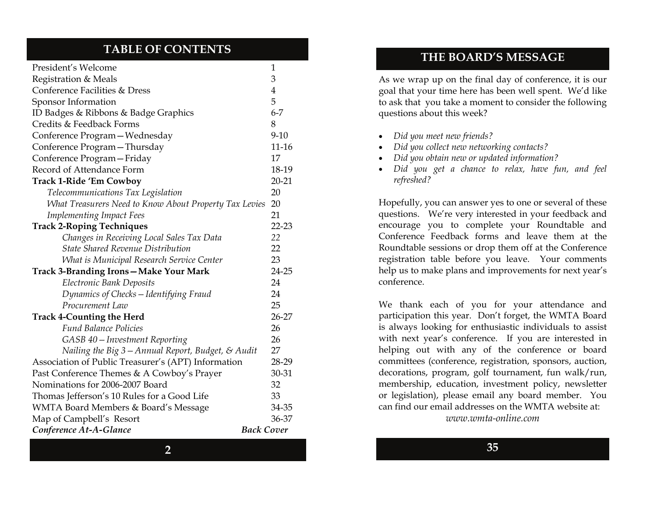### **TABLE OF CONTENTS**

| President's Welcome                                    |           |  |
|--------------------------------------------------------|-----------|--|
| Registration & Meals                                   |           |  |
| Conference Facilities & Dress                          |           |  |
| Sponsor Information                                    | 5         |  |
| ID Badges & Ribbons & Badge Graphics                   | $6 - 7$   |  |
| Credits & Feedback Forms                               | 8         |  |
| Conference Program-Wednesday                           | $9 - 10$  |  |
| Conference Program-Thursday                            | 11-16     |  |
| Conference Program-Friday                              | 17        |  |
| Record of Attendance Form                              | 18-19     |  |
| <b>Track 1-Ride 'Em Cowboy</b>                         | $20 - 21$ |  |
| Telecommunications Tax Legislation                     | 20        |  |
| What Treasurers Need to Know About Property Tax Levies | 20        |  |
| <b>Implementing Impact Fees</b>                        | 21        |  |
| <b>Track 2-Roping Techniques</b>                       | 22-23     |  |
| Changes in Receiving Local Sales Tax Data              | 22        |  |
| <b>State Shared Revenue Distribution</b>               | 22        |  |
| What is Municipal Research Service Center              | 23        |  |
| Track 3-Branding Irons-Make Your Mark                  | 24-25     |  |
| <b>Electronic Bank Deposits</b>                        | 24        |  |
| Dynamics of Checks - Identifying Fraud                 | 24        |  |
| Procurement Law                                        | 25        |  |
| <b>Track 4-Counting the Herd</b>                       |           |  |
| <b>Fund Balance Policies</b>                           | 26        |  |
| GASB 40 – Investment Reporting                         | 26        |  |
| Nailing the Big 3 - Annual Report, Budget, & Audit     | 27        |  |
| Association of Public Treasurer's (APT) Information    | 28-29     |  |
| Past Conference Themes & A Cowboy's Prayer             |           |  |
| Nominations for 2006-2007 Board                        |           |  |
| Thomas Jefferson's 10 Rules for a Good Life            |           |  |
| WMTA Board Members & Board's Message                   |           |  |
| Map of Campbell's Resort                               |           |  |
| <b>Back Cover</b><br>Conference At-A-Glance            |           |  |

### **THE BOARD'S MESSAGE**

As we wrap up on the final day of conference, it is our goal that your time here has been well spent. We'd like to ask that you take a moment to consider the following questions about this week?

- *Did you meet new friends?*
- *Did you collect new networking contacts?*
- *Did you obtain new or updated information?*
- *Did you get a chance to relax, have fun, and feel refreshed?*

Hopefully, you can answer yes to one or several of these questions. We're very interested in your feedback and encourage you to complete your Roundtable and Conference Feedback forms and leave them at the Roundtable sessions or drop them off at the Conference registration table before you leave. Your comments help us to make plans and improvements for next year's conference.

We thank each of you for your attendance and participation this year. Don't forget, the WMTA Board is always looking for enthusiastic individuals to assist with next year's conference. If you are interested in helping out with any of the conference or board committees (conference, registration, sponsors, auction, decorations, program, golf tournament, fun walk/run, membership, education, investment policy, newsletter or legislation), please email any board member. You can find our email addresses on the WMTA website at:

*www.wmta-online.com*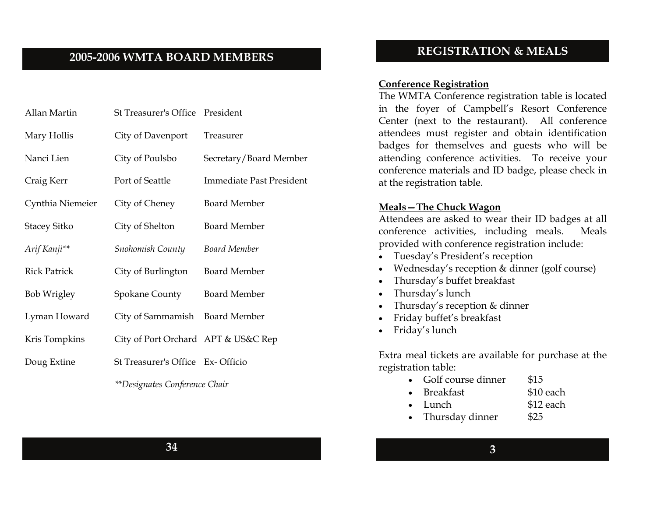### **2005-2006 WMTA BOARD MEMBERS**

| Allan Martin        | St Treasurer's Office President     |                                 |
|---------------------|-------------------------------------|---------------------------------|
| Mary Hollis         | City of Davenport                   | <b>Treasurer</b>                |
| Nanci Lien          | City of Poulsbo                     | Secretary/Board Member          |
| Craig Kerr          | Port of Seattle                     | <b>Immediate Past President</b> |
| Cynthia Niemeier    | City of Cheney                      | <b>Board Member</b>             |
| <b>Stacey Sitko</b> | City of Shelton                     | <b>Board Member</b>             |
| Arif Kanji**        | Snohomish County                    | <b>Board Member</b>             |
| <b>Rick Patrick</b> | City of Burlington                  | <b>Board Member</b>             |
| <b>Bob Wrigley</b>  | Spokane County                      | <b>Board Member</b>             |
| Lyman Howard        | City of Sammamish Board Member      |                                 |
| Kris Tompkins       | City of Port Orchard APT & US&C Rep |                                 |
| Doug Extine         | St Treasurer's Office Ex-Officio    |                                 |

*\*\*Designates Conference Chair* 

### **REGISTRATION & MEALS**

#### **Conference Registration**

The WMTA Conference registration table is located in the foyer of Campbell's Resort Conference Center (next to the restaurant). All conference attendees must register and obtain identification badges for themselves and guests who will be attending conference activities. To receive your conference materials and ID badge, please check in at the registration table.

#### **Meals—The Chuck Wagon**

Attendees are asked to wear their ID badges at all conference activities, including meals. Meals provided with conference registration include:

- Tuesday's President's reception
- Wednesday's reception & dinner (golf course)
- Thursday's buffet breakfast
- Thursday's lunch
- Thursday's reception & dinner
- Friday buffet's breakfast
- Friday's lunch

Extra meal tickets are available for purchase at the registration table:

- Golf course dinner \$15
	- Breakfast \$10 each
- Lunch \$12 each
- Thursday dinner \$25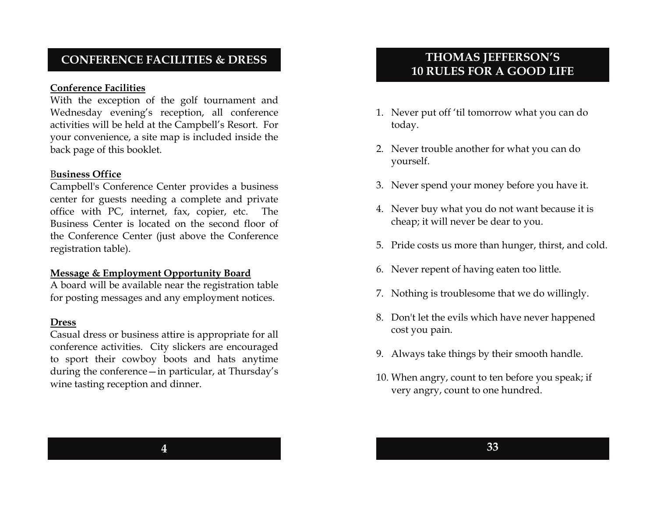### **CONFERENCE FACILITIES & DRESS**

#### **Conference Facilities**

With the exception of the golf tournament and Wednesday evening's reception, all conference activities will be held at the Campbell's Resort. For your convenience, a site map is included inside the back page of this booklet.

#### B**usiness Office**

Campbell's Conference Center provides a business center for guests needing a complete and private office with PC, internet, fax, copier, etc. The Business Center is located on the second floor of the Conference Center (just above the Conference registration table).

#### **Message & Employment Opportunity Board**

A board will be available near the registration table for posting messages and any employment notices.

#### **Dress**

Casual dress or business attire is appropriate for all conference activities. City slickers are encouraged to sport their cowboy boots and hats anytime during the conference—in particular, at Thursday's wine tasting reception and dinner.

## **THOMAS JEFFERSON'S 10 RULES FOR A GOOD LIFE**

- 1. Never put off 'til tomorrow what you can do today.
- 2. Never trouble another for what you can do yourself.
- 3. Never spend your money before you have it.
- 4. Never buy what you do not want because it is cheap; it will never be dear to you.
- 5. Pride costs us more than hunger, thirst, and cold.
- 6. Never repent of having eaten too little.
- 7. Nothing is troublesome that we do willingly.
- 8. Don't let the evils which have never happened cost you pain.
- 9. Always take things by their smooth handle.
- 10. When angry, count to ten before you speak; if very angry, count to one hundred.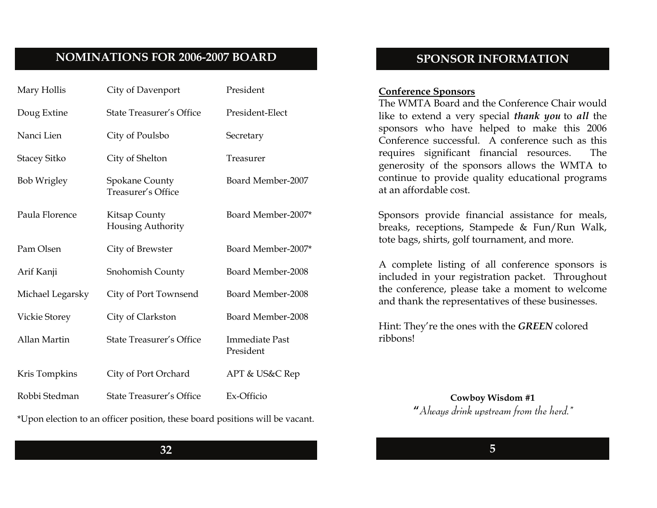### **NOMINATIONS FOR 2006-2007 BOARD**

| Mary Hollis          | City of Davenport                           | President                          |
|----------------------|---------------------------------------------|------------------------------------|
| Doug Extine          | <b>State Treasurer's Office</b>             | President-Elect                    |
| Nanci Lien           | City of Poulsbo                             | Secretary                          |
| <b>Stacey Sitko</b>  | City of Shelton                             | Treasurer                          |
| <b>Bob Wrigley</b>   | <b>Spokane County</b><br>Treasurer's Office | Board Member-2007                  |
| Paula Florence       | Kitsap County<br>Housing Authority          | Board Member-2007*                 |
| Pam Olsen            | City of Brewster                            | Board Member-2007*                 |
| Arif Kanji           | Snohomish County                            | Board Member-2008                  |
| Michael Legarsky     | City of Port Townsend                       | Board Member-2008                  |
| <b>Vickie Storey</b> | City of Clarkston                           | Board Member-2008                  |
| Allan Martin         | <b>State Treasurer's Office</b>             | <b>Immediate Past</b><br>President |
| Kris Tompkins        | City of Port Orchard                        | APT & US&C Rep                     |
| Robbi Stedman        | <b>State Treasurer's Office</b>             | Ex-Officio                         |

\*Upon election to an officer position, these board positions will be vacant.

### **SPONSOR INFORMATION**

#### **Conference Sponsors**

The WMTA Board and the Conference Chair would like to extend a very special *thank you* to *all* the sponsors who have helped to make this 2006 Conference successful. A conference such as this requires significant financial resources. The generosity of the sponsors allows the WMTA to continue to provide quality educational programs at an affordable cost.

Sponsors provide financial assistance for meals, breaks, receptions, Stampede & Fun/Run Walk, tote bags, shirts, golf tournament, and more.

A complete listing of all conference sponsors is included in your registration packet. Throughout the conference, please take a moment to welcome and thank the representatives of these businesses.

Hint: They're the ones with the *GREEN* colored ribbons!

> **Cowboy Wisdom #1 "***Always drink upstream from the herd."*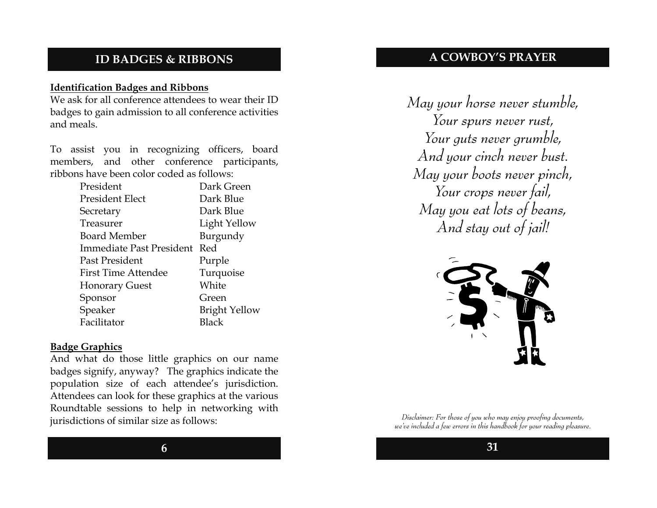### **ID BADGES & RIBBONS**

### **Identification Badges and Ribbons**

We ask for all conference attendees to wear their ID badges to gain admission to all conference activities and meals.

To assist you in recognizing officers, board members, and other conference participants, ribbons have been color coded as follows:

| President                       | Dark Green           |
|---------------------------------|----------------------|
| President Elect                 | Dark Blue            |
| Secretary                       | Dark Blue            |
| Treasurer                       | Light Yellow         |
| <b>Board Member</b>             | Burgundy             |
| <b>Immediate Past President</b> | Red                  |
| Past President                  | Purple               |
| <b>First Time Attendee</b>      | Turquoise            |
| <b>Honorary Guest</b>           | White                |
| Sponsor                         | Green                |
| Speaker                         | <b>Bright Yellow</b> |
| Facilitator                     | Black                |
|                                 |                      |

#### **Badge Graphics**

And what do those little graphics on our name badges signify, anyway? The graphics indicate the population size of each attendee's jurisdiction. Attendees can look for these graphics at the various Roundtable sessions to help in networking with jurisdictions of similar size as follows:

**A COWBOY'S PRAYER** 

*May your horse never stumble, Your spurs never rust, Your guts never grumble, And your cinch never bust. May your boots never pinch, Your crops never fail, May you eat lots of beans, And stay out of jail!* 



*Disclaimer: For those of you who may enjoy proofing documents, we've included a few errors in this handbook for your reading pleasure.*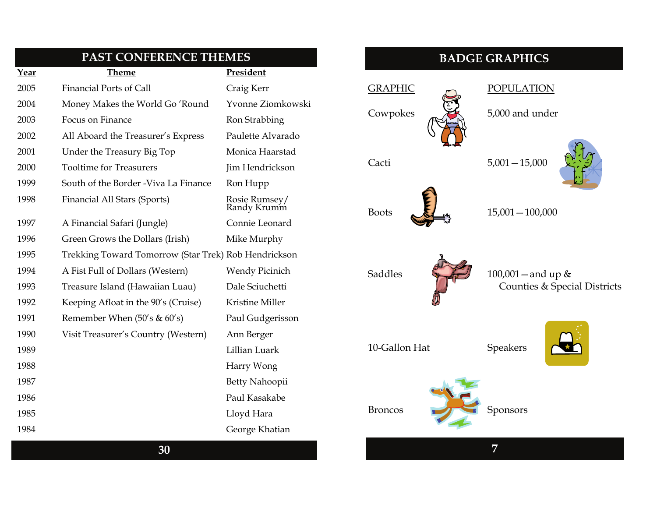|      | PAST CONFERENCE THEMES                               |                              |
|------|------------------------------------------------------|------------------------------|
| Year | Theme                                                | President                    |
| 2005 | <b>Financial Ports of Call</b>                       | Craig Kerr                   |
| 2004 | Money Makes the World Go 'Round                      | Yvonne Ziomkowski            |
| 2003 | Focus on Finance                                     | Ron Strabbing                |
| 2002 | All Aboard the Treasurer's Express                   | Paulette Alvarado            |
| 2001 | Under the Treasury Big Top                           | Monica Haarstad              |
| 2000 | <b>Tooltime for Treasurers</b>                       | Jim Hendrickson              |
| 1999 | South of the Border - Viva La Finance                | Ron Hupp                     |
| 1998 | Financial All Stars (Sports)                         | Rosie Rumsey/<br>Randy Krumm |
| 1997 | A Financial Safari (Jungle)                          | Connie Leonard               |
| 1996 | Green Grows the Dollars (Irish)                      | Mike Murphy                  |
| 1995 | Trekking Toward Tomorrow (Star Trek) Rob Hendrickson |                              |
| 1994 | A Fist Full of Dollars (Western)                     | Wendy Picinich               |
| 1993 | Treasure Island (Hawaiian Luau)                      | Dale Sciuchetti              |
| 1992 | Keeping Afloat in the 90's (Cruise)                  | Kristine Miller              |
| 1991 | Remember When $(50's & 60's)$                        | Paul Gudgerisson             |
| 1990 | Visit Treasurer's Country (Western)                  | Ann Berger                   |
| 1989 |                                                      | Lillian Luark                |
| 1988 |                                                      | Harry Wong                   |
| 1987 |                                                      | Betty Nahoopii               |
| 1986 |                                                      | Paul Kasakabe                |
| 1985 |                                                      | Lloyd Hara                   |
| 1984 |                                                      | George Khatian               |
|      |                                                      |                              |

### **BADGE GRAPHICS**

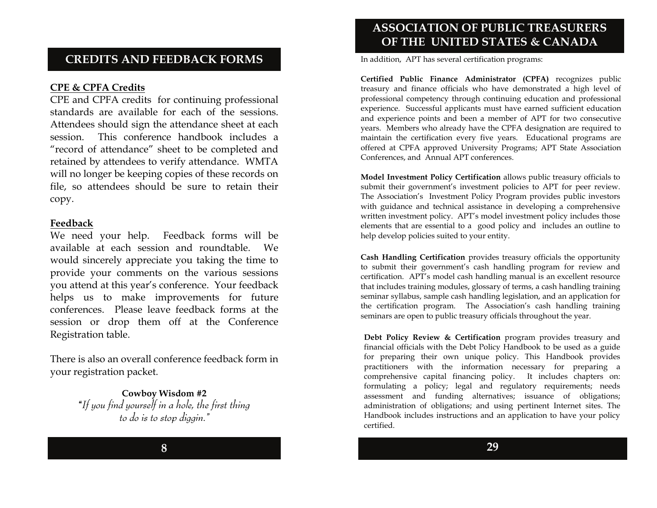### **CREDITS AND FEEDBACK FORMS**

#### **CPE & CPFA Credits**

CPE and CPFA credits for continuing professional standards are available for each of the sessions. Attendees should sign the attendance sheet at each session. This conference handbook includes a "record of attendance" sheet to be completed and retained by attendees to verify attendance. WMTA will no longer be keeping copies of these records on file, so attendees should be sure to retain their copy.

#### **Feedback**

We need your help. Feedback forms will be available at each session and roundtable. We would sincerely appreciate you taking the time to provide your comments on the various sessions you attend at this year's conference. Your feedback helps us to make improvements for future conferences. Please leave feedback forms at the session or drop them off at the Conference Registration table.

There is also an overall conference feedback form in your registration packet.

> **Cowboy Wisdom #2 "***If you find yourself in a hole, the first thing to do is to stop diggin."*

### **ASSOCIATION OF PUBLIC TREASURERS OF THE UNITED STATES & CANADA**

In addition, APT has several certification programs:

**Certified Public Finance Administrator (CPFA)** recognizes public treasury and finance officials who have demonstrated a high level of professional competency through continuing education and professional experience. Successful applicants must have earned sufficient education and experience points and been a member of APT for two consecutive years. Members who already have the CPFA designation are required to maintain the certification every five years. Educational programs are offered at CPFA approved University Programs; APT State Association Conferences, and Annual APT conferences.

**Model Investment Policy Certification** allows public treasury officials to submit their government's investment policies to APT for peer review. The Association's Investment Policy Program provides public investors with guidance and technical assistance in developing a comprehensive written investment policy. APT's model investment policy includes those elements that are essential to a good policy and includes an outline to help develop policies suited to your entity.

**Cash Handling Certification** provides treasury officials the opportunity to submit their government's cash handling program for review and certification. APT's model cash handling manual is an excellent resource that includes training modules, glossary of terms, a cash handling training seminar syllabus, sample cash handling legislation, and an application for the certification program. The Association's cash handling training seminars are open to public treasury officials throughout the year.

**Debt Policy Review & Certification** program provides treasury and financial officials with the Debt Policy Handbook to be used as a guide for preparing their own unique policy. This Handbook provides practitioners with the information necessary for preparing a comprehensive capital financing policy. It includes chapters on: formulating a policy; legal and regulatory requirements; needs assessment and funding alternatives; issuance of obligations; administration of obligations; and using pertinent Internet sites. The Handbook includes instructions and an application to have your policy certified.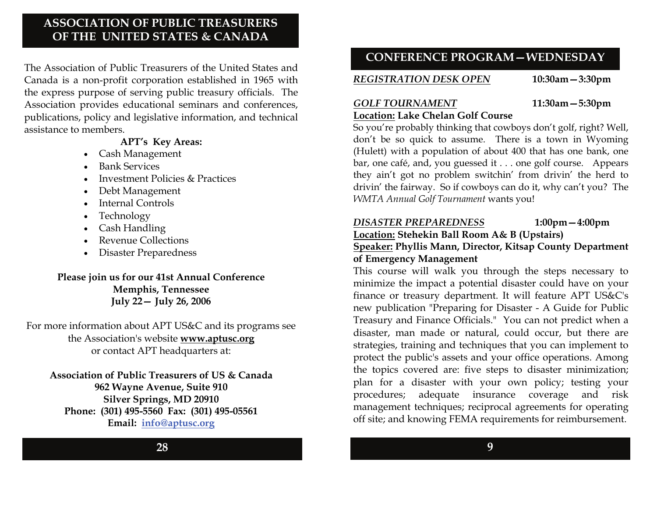### **ASSOCIATION OF PUBLIC TREASURERS OF THE UNITED STATES & CANADA**

The Association of Public Treasurers of the United States and Canada is a non-profit corporation established in 1965 with the express purpose of serving public treasury officials. The Association provides educational seminars and conferences, publications, policy and legislative information, and technical assistance to members.

#### **APT's Key Areas:**

- Cash Management
- Bank Services
- Investment Policies & Practices
- Debt Management
- Internal Controls
- Technology
- Cash Handling
- Revenue Collections
- Disaster Preparedness

### **Please join us for our 41st Annual Conference Memphis, Tennessee July 22— July 26, 2006**

For more information about APT US&C and its programs see the Association's website **www.aptusc.org**  or contact APT headquarters at:

**Association of Public Treasurers of US & Canada 962 Wayne Avenue, Suite 910 Silver Springs, MD 20910 Phone: (301) 495-5560 Fax: (301) 495-05561 Email: [info@aptusc.org](mailto:info@aptusc.org)**

## **CONFERENCE PROGRAM—WEDNESDAY**

*REGISTRATION DESK OPEN* **10:30am—3:30pm** 

### *GOLF TOURNAMENT* **11:30am—5:30pm**

**Location: Lake Chelan Golf Course**  So you're probably thinking that cowboys don't golf, right? Well, don't be so quick to assume. There is a town in Wyoming (Hulett) with a population of about 400 that has one bank, one bar, one café, and, you guessed it . . . one golf course. Appears they ain't got no problem switchin' from drivin' the herd to drivin' the fairway. So if cowboys can do it, why can't you? The *WMTA Annual Golf Tournament* wants you!

### *DISASTER PREPAREDNESS* **1:00pm—4:00pm**

**Location: Stehekin Ball Room A& B (Upstairs)** 

### **Speaker: Phyllis Mann, Director, Kitsap County Department of Emergency Management**

This course will walk you through the steps necessary to minimize the impact a potential disaster could have on your finance or treasury department. It will feature APT US&C's new publication "Preparing for Disaster - A Guide for Public Treasury and Finance Officials." You can not predict when a disaster, man made or natural, could occur, but there are strategies, training and techniques that you can implement to protect the public's assets and your office operations. Among the topics covered are: five steps to disaster minimization; plan for a disaster with your own policy; testing your procedures; adequate insurance coverage and risk management techniques; reciprocal agreements for operating off site; and knowing FEMA requirements for reimbursement.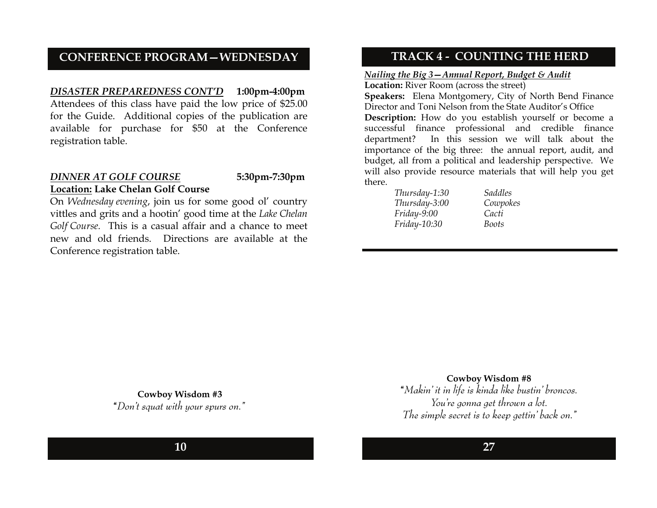#### **CONFERENCE PROGRAM—WEDNESDAY**

### *DISASTER PREPAREDNESS CONT'D* **1:00pm-4:00pm**  Attendees of this class have paid the low price of \$25.00 for the Guide. Additional copies of the publication are available for purchase for \$50 at the Conference registration table.

#### *DINNER AT GOLF COURSE* **5:30pm-7:30pm Location: Lake Chelan Golf Course**

On *Wednesday evening*, join us for some good ol' country vittles and grits and a hootin' good time at the *Lake Chelan Golf Course.* This is a casual affair and a chance to meet new and old friends. Directions are available at the Conference registration table.

### **TRACK 4 - COUNTING THE HERD**

#### *Nailing the Big 3—Annual Report, Budget & Audit*

Location: River Room (across the street) **Speakers:** Elena Montgomery, City of North Bend Finance Director and Toni Nelson from the State Auditor's Office **Description:** How do you establish yourself or become a successful finance professional and credible finance department? In this session we will talk about the importance of the big three: the annual report, audit, and budget, all from a political and leadership perspective. We will also provide resource materials that will help you get there.

| Thursday-1:30       | Saddles  |
|---------------------|----------|
| Thursday-3:00       | Cowpokes |
| Friday-9:00         | Cacti    |
| <i>Friday-10:30</i> | Boots    |

 **Cowboy Wisdom #3 "***Don't squat with your spurs on."*

#### **Cowboy Wisdom #8**

**"***Makin' it in life is kinda like bustin' broncos. You're gonna get thrown a lot. The simple secret is to keep gettin' back on."*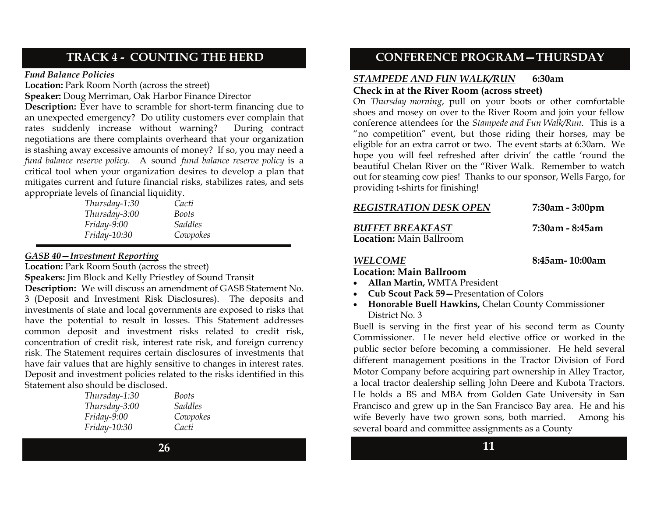### **TRACK 4 - COUNTING THE HERD**

#### *Fund Balance Policies*

**Location:** Park Room North (across the street)

**Speaker:** Doug Merriman, Oak Harbor Finance Director

**Description:** Ever have to scramble for short-term financing due to an unexpected emergency? Do utility customers ever complain that rates suddenly increase without warning? During contract negotiations are there complaints overheard that your organization is stashing away excessive amounts of money? If so, you may need a *fund balance reserve policy*. A sound *fund balance reserve policy* is a critical tool when your organization desires to develop a plan that mitigates current and future financial risks, stabilizes rates, and sets appropriate levels of financial liquidity.

| Thursday-1:30       | Cacti          |
|---------------------|----------------|
| Thursday-3:00       | Boots          |
| Friday-9:00         | <i>Saddles</i> |
| <i>Friday-10:30</i> | Cowpokes       |

#### *GASB 40—Investment Reporting*

**Location:** Park Room South (across the street)

**Speakers:** Jim Block and Kelly Priestley of Sound Transit

**Description:** We will discuss an amendment of GASB Statement No. 3 (Deposit and Investment Risk Disclosures). The deposits and investments of state and local governments are exposed to risks that have the potential to result in losses. This Statement addresses common deposit and investment risks related to credit risk, concentration of credit risk, interest rate risk, and foreign currency risk. The Statement requires certain disclosures of investments that have fair values that are highly sensitive to changes in interest rates. Deposit and investment policies related to the risks identified in this Statement also should be disclosed.

| Thursday-1:30       | Boots          |
|---------------------|----------------|
| Thursday-3:00       | <i>Saddles</i> |
| $Friday-9:00$       | Cowpokes       |
| <i>Friday-10:30</i> | Cacti          |

### **CONFERENCE PROGRAM—THURSDAY**

#### *STAMPEDE AND FUN WALK/RUN* **6:30am Check in at the River Room (across street)**

On *Thursday morning*, pull on your boots or other comfortable shoes and mosey on over to the River Room and join your fellow conference attendees for the *Stampede and Fun Walk/Run*. This is a "no competition" event, but those riding their horses, may be eligible for an extra carrot or two. The event starts at 6:30am. We hope you will feel refreshed after drivin' the cattle 'round the beautiful Chelan River on the "River Walk. Remember to watch out for steaming cow pies! Thanks to our sponsor, Wells Fargo, for providing t-shirts for finishing!

| <b>REGISTRATION DESK OPEN</b>                      | $7:30$ am - $3:00$ pm |
|----------------------------------------------------|-----------------------|
| <b>BUFFET BREAKFAST</b><br>Location: Main Ballroom | 7:30am - 8:45am       |

**8:45am- 10:00am** 

#### *WELCOME*

#### **Location: Main Ballroom**

- **Allan Martin,** WMTA President
- **Cub Scout Pack 59—**Presentation of Colors
- **Honorable Buell Hawkins,** Chelan County Commissioner District No. 3

Buell is serving in the first year of his second term as County Commissioner. He never held elective office or worked in the public sector before becoming a commissioner. He held several different management positions in the Tractor Division of Ford Motor Company before acquiring part ownership in Alley Tractor, a local tractor dealership selling John Deere and Kubota Tractors. He holds a BS and MBA from Golden Gate University in San Francisco and grew up in the San Francisco Bay area. He and his wife Beverly have two grown sons, both married. Among his several board and committee assignments as a County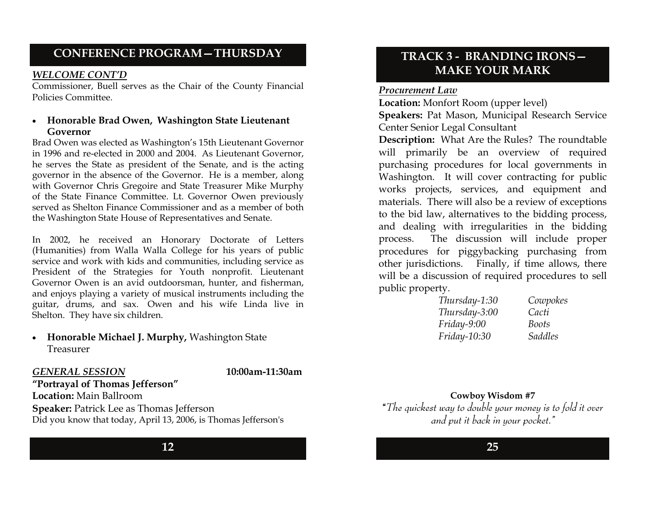## **CONFERENCE PROGRAM—THURSDAY**

#### *WELCOME CONT'D*

Commissioner, Buell serves as the Chair of the County Financial Policies Committee.

#### • **Honorable Brad Owen, Washington State Lieutenant Governor**

Brad Owen was elected as Washington's 15th Lieutenant Governor in 1996 and re-elected in 2000 and 2004. As Lieutenant Governor, he serves the State as president of the Senate, and is the acting governor in the absence of the Governor. He is a member, along with Governor Chris Gregoire and State Treasurer Mike Murphy of the State Finance Committee. Lt. Governor Owen previously served as Shelton Finance Commissioner and as a member of both the Washington State House of Representatives and Senate.

In 2002, he received an Honorary Doctorate of Letters (Humanities) from Walla Walla College for his years of public service and work with kids and communities, including service as President of the Strategies for Youth nonprofit. Lieutenant Governor Owen is an avid outdoorsman, hunter, and fisherman, and enjoys playing a variety of musical instruments including the guitar, drums, and sax. Owen and his wife Linda live in Shelton. They have six children.

• **Honorable Michael J. Murphy,** Washington State Treasurer

#### *GENERAL SESSION*

**10:00am-11:30am**

**"Portrayal of Thomas Jefferson" Location:** Main Ballroom **Speaker:** Patrick Lee as Thomas Jefferson Did you know that today, April 13, 2006, is Thomas Jefferson's

### **TRACK 3 - BRANDING IRONS— MAKE YOUR MARK**

#### *Procurement Law*

**Location:** Monfort Room (upper level) **Speakers:** Pat Mason, Municipal Research Service Center Senior Legal Consultant

**Description:** What Are the Rules? The roundtable will primarily be an overview of required purchasing procedures for local governments in Washington. It will cover contracting for public works projects, services, and equipment and materials. There will also be a review of exceptions to the bid law, alternatives to the bidding process, and dealing with irregularities in the bidding process. The discussion will include proper procedures for piggybacking purchasing from other jurisdictions. Finally, if time allows, there will be a discussion of required procedures to sell public property.

| Thursday-1:30 | Cowpokes |
|---------------|----------|
| Thursday-3:00 | Cacti    |
| $Friday-9:00$ | Boots    |
| Friday-10:30  | Saddles  |

**Cowboy Wisdom #7 "***The quickest way to double your money is to fold it over and put it back in your pocket."*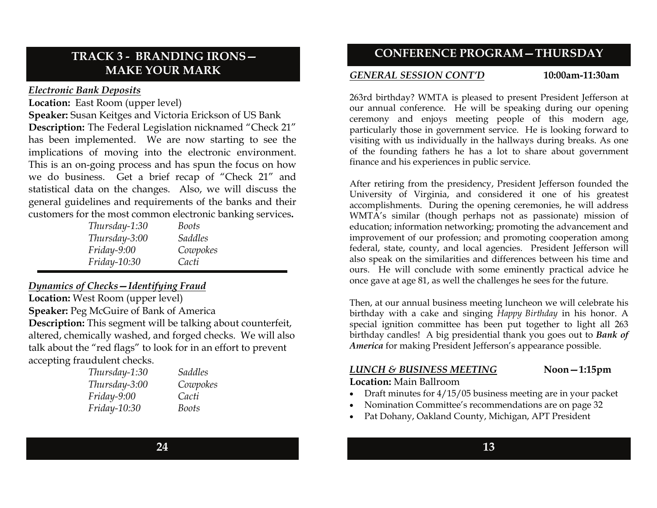### **TRACK 3 - BRANDING IRONS— MAKE YOUR MARK**

#### *Electronic Bank Deposits*

**Location:** East Room (upper level)

**Speaker:** Susan Keitges and Victoria Erickson of US Bank **Description:** The Federal Legislation nicknamed "Check 21" has been implemented. We are now starting to see the implications of moving into the electronic environment. This is an on-going process and has spun the focus on how we do business. Get a brief recap of "Check 21" and statistical data on the changes. Also, we will discuss the general guidelines and requirements of the banks and their customers for the most common electronic banking services**.** 

| Thursday-1:30 | Boots          |  |
|---------------|----------------|--|
| Thursday-3:00 | <i>Saddles</i> |  |
| $Friday-9:00$ | Cowpokes       |  |
| Friday-10:30  | Cacti          |  |

#### *Dynamics of Checks—Identifying Fraud*

**Location:** West Room (upper level) **Speaker:** Peg McGuire of Bank of America **Description:** This segment will be talking about counterfeit, altered, chemically washed, and forged checks. We will also talk about the "red flags" to look for in an effort to prevent accepting fraudulent checks.

| Thursday-1:30 | <b>Saddles</b> |
|---------------|----------------|
| Thursday-3:00 | Cowpokes       |
| Friday-9:00   | Cacti          |
| Friday-10:30  | <b>Boots</b>   |

**CONFERENCE PROGRAM—THURSDAY** 

#### *GENERAL SESSION CONT'D*

**10:00am-11:30am**

263rd birthday? WMTA is pleased to present President Jefferson at our annual conference. He will be speaking during our opening ceremony and enjoys meeting people of this modern age, particularly those in government service. He is looking forward to visiting with us individually in the hallways during breaks. As one of the founding fathers he has a lot to share about government finance and his experiences in public service.

After retiring from the presidency, President Jefferson founded the University of Virginia, and considered it one of his greatest accomplishments. During the opening ceremonies, he will address WMTA's similar (though perhaps not as passionate) mission of education; information networking; promoting the advancement and improvement of our profession; and promoting cooperation among federal, state, county, and local agencies. President Jefferson will also speak on the similarities and differences between his time and ours. He will conclude with some eminently practical advice he once gave at age 81, as well the challenges he sees for the future.

Then, at our annual business meeting luncheon we will celebrate his birthday with a cake and singing *Happy Birthday* in his honor. A special ignition committee has been put together to light all 263 birthday candles! A big presidential thank you goes out to *Bank of America* for making President Jefferson's appearance possible.

#### *LUNCH & BUSINESS MEETING*

**Noon—1:15pm**

**Location:** Main Ballroom

- Draft minutes for  $4/15/05$  business meeting are in your packet
- Nomination Committee's recommendations are on page 32
- Pat Dohany, Oakland County, Michigan, APT President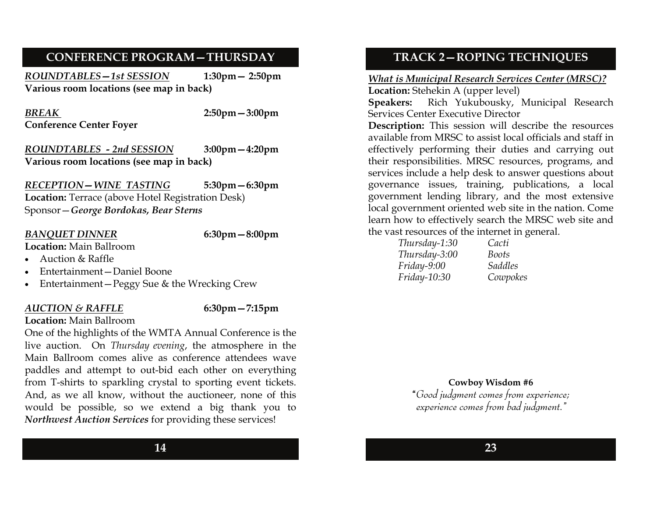### **CONFERENCE PROGRAM—THURSDAY**

*ROUNDTABLES—1st SESSION* **1:30pm— 2:50pm Various room locations (see map in back)** 

*BREAK***Conference Center Foyer**  **2:50pm—3:00pm** 

*ROUNDTABLES - 2nd SESSION* **3:00pm—4:20pm Various room locations (see map in back)** 

*RECEPTION—WINE TASTING* **5:30pm—6:30pm Location:** Terrace (above Hotel Registration Desk) Sponsor—*George Bordokas, Bear Sterns*

#### *BANQUET DINNER* **6:30pm—8:00pm**

- **Location:** Main Ballroom • Auction & Raffle
- Entertainment—Daniel Boone
- Entertainment—Peggy Sue & the Wrecking Crew

#### *AUCTION & RAFFLE* **6:30pm—7:15pm**

### **Location:** Main Ballroom

One of the highlights of the WMTA Annual Conference is the live auction. On *Thursday evening*, the atmosphere in the Main Ballroom comes alive as conference attendees wave paddles and attempt to out-bid each other on everything from T-shirts to sparkling crystal to sporting event tickets. And, as we all know, without the auctioneer, none of this would be possible, so we extend a big thank you to *Northwest Auction Services* for providing these services!

### **TRACK 2—ROPING TECHNIQUES**

### *What is Municipal Research Services Center (MRSC)?*

**Location:** Stehekin A (upper level)

**Speakers:** Rich Yukubousky, Municipal Research Services Center Executive Director

**Description:** This session will describe the resources available from MRSC to assist local officials and staff in effectively performing their duties and carrying out their responsibilities. MRSC resources, programs, and services include a help desk to answer questions about governance issues, training, publications, a local government lending library, and the most extensive local government oriented web site in the nation. Come learn how to effectively search the MRSC web site and the vast resources of the internet in general.

| Thursday-1:30 | Cacti          |
|---------------|----------------|
| Thursday-3:00 | Boots          |
| Friday-9:00   | <b>Saddles</b> |
| Friday-10:30  | Cowpokes       |

**Cowboy Wisdom #6 "***Good judgment comes from experience; experience comes from bad judgment."*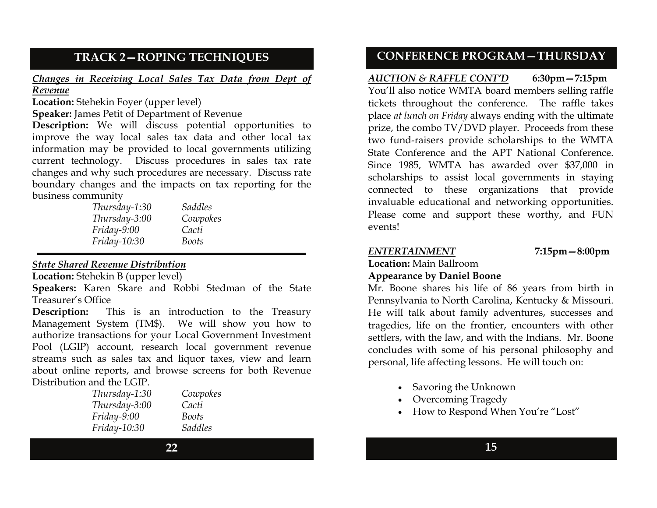### **TRACK 2—ROPING TECHNIQUES**

*Changes in Receiving Local Sales Tax Data from Dept of Revenue*

**Location:** Stehekin Foyer (upper level)

**Speaker:** James Petit of Department of Revenue

**Description:** We will discuss potential opportunities to improve the way local sales tax data and other local tax information may be provided to local governments utilizing current technology. Discuss procedures in sales tax rate changes and why such procedures are necessary. Discuss rate boundary changes and the impacts on tax reporting for the business community

| Thursday-1:30  | <i>Saddles</i> |
|----------------|----------------|
| Thursday-3:00  | Cowpokes       |
| $Friday-9:00$  | Cacti          |
| $Friday-10:30$ | Boots          |
|                |                |

#### *State Shared Revenue Distribution*

**Location:** Stehekin B (upper level)

**Speakers:** Karen Skare and Robbi Stedman of the State Treasurer's Office

**Description:** This is an introduction to the Treasury Management System (TM\$). We will show you how to authorize transactions for your Local Government Investment Pool (LGIP) account, research local government revenue streams such as sales tax and liquor taxes, view and learn about online reports, and browse screens for both Revenue Distribution and the LGIP.

| Thursday-1:30 | Cowpokes       |
|---------------|----------------|
| Thursday-3:00 | Cacti          |
| $Friday-9:00$ | Boots          |
| Friday-10:30  | <b>Saddles</b> |

### **CONFERENCE PROGRAM—THURSDAY**

*AUCTION & RAFFLE CONT'D* **6:30pm—7:15pm**  You'll also notice WMTA board members selling raffle tickets throughout the conference. The raffle takes place *at lunch on Friday* always ending with the ultimate prize, the combo TV/DVD player. Proceeds from these two fund-raisers provide scholarships to the WMTA State Conference and the APT National Conference. Since 1985, WMTA has awarded over \$37,000 in scholarships to assist local governments in staying connected to these organizations that provide invaluable educational and networking opportunities. Please come and support these worthy, and FUN events!

### *ENTERTAINMENT* **7:15pm—8:00pm**

**Location:** Main Ballroom

### **Appearance by Daniel Boone**

Mr. Boone shares his life of 86 years from birth in Pennsylvania to North Carolina, Kentucky & Missouri. He will talk about family adventures, successes and tragedies, life on the frontier, encounters with other settlers, with the law, and with the Indians. Mr. Boone concludes with some of his personal philosophy and personal, life affecting lessons. He will touch on:

- Savoring the Unknown
- Overcoming Tragedy
- How to Respond When You're "Lost"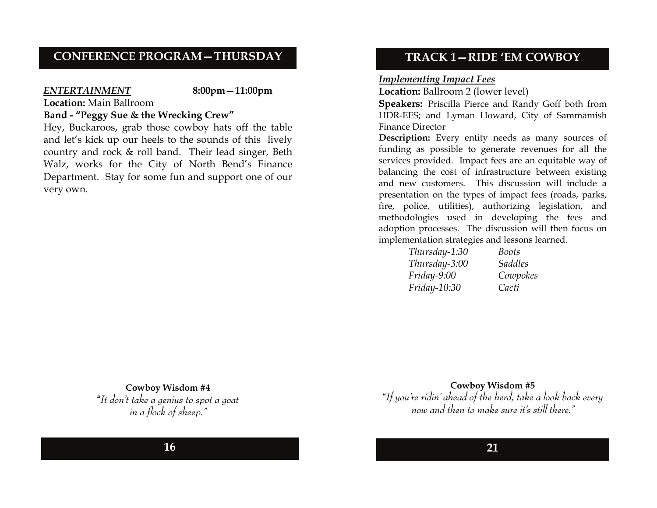### **CONFERENCE PROGRAM—THURSDAY**

#### *ENTERTAINMENT* **8:00pm—11:00pm**

**Location:** Main Ballroom

#### **Band - "Peggy Sue & the Wrecking Crew"**

Hey, Buckaroos, grab those cowboy hats off the table and let's kick up our heels to the sounds of this lively country and rock & roll band. Their lead singer, Beth Walz, works for the City of North Bend's Finance Department. Stay for some fun and support one of our very own.

#### **TRACK 1—RIDE 'EM COWBOY**

#### *Implementing Impact Fees*

**Location:** Ballroom 2 (lower level)

**Speakers:** Priscilla Pierce and Randy Goff both from HDR-EES; and Lyman Howard, City of Sammamish Finance Director

**Description:** Every entity needs as many sources of funding as possible to generate revenues for all the services provided. Impact fees are an equitable way of balancing the cost of infrastructure between existing and new customers. This discussion will include a presentation on the types of impact fees (roads, parks, fire, police, utilities), authorizing legislation, and methodologies used in developing the fees and adoption processes. The discussion will then focus on implementation strategies and lessons learned.

| Thursday-1:30 | Boots    |
|---------------|----------|
| Thursday-3:00 | Saddles  |
| Friday-9:00   | Cowpokes |
| Friday-10:30  | Cacti    |

**Cowboy Wisdom #4** 

**"***It don't take a genius to spot a goat in a flock of sheep."*

#### **Cowboy Wisdom #5**

**"***If you're ridin' ahead of the herd, take a look back every now and then to make sure it's still there."*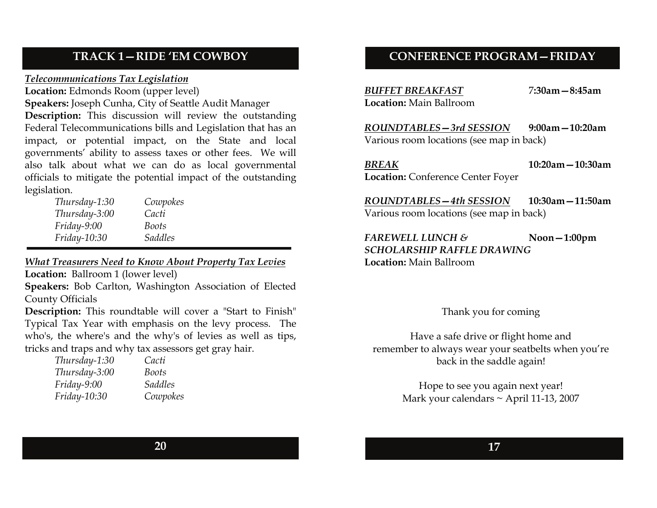### **TRACK 1—RIDE 'EM COWBOY**

#### *Telecommunications Tax Legislation*

**Location:** Edmonds Room (upper level)

**Speakers:** Joseph Cunha, City of Seattle Audit Manager

**Description:** This discussion will review the outstanding Federal Telecommunications bills and Legislation that has an impact, or potential impact, on the State and local governments' ability to assess taxes or other fees. We will also talk about what we can do as local governmental officials to mitigate the potential impact of the outstanding legislation.

| Thursday-1:30 | Cowpokes       |
|---------------|----------------|
| Thursday-3:00 | Cacti          |
| $Friday-9:00$ | Boots          |
| Friday-10:30  | <b>Saddles</b> |

*What Treasurers Need to Know About Property Tax Levies*

**Location:** Ballroom 1 (lower level)

**Speakers:** Bob Carlton, Washington Association of Elected County Officials

**Description:** This roundtable will cover a "Start to Finish" Typical Tax Year with emphasis on the levy process. The who's, the where's and the why's of levies as well as tips, tricks and traps and why tax assessors get gray hair.

| Thursday-1:30 | Cacti    |
|---------------|----------|
| Thursday-3:00 | Boots    |
| $Friday-9:00$ | Saddles  |
| Friday-10:30  | Cowpokes |

### **CONFERENCE PROGRAM—FRIDAY**

*BUFFET BREAKFAST* 7**:30am—8:45am Location:** Main Ballroom

*ROUNDTABLES—3rd SESSION* **9:00am—10:20am**  Various room locations (see map in back)

*BREAK* **10:20am—10:30amLocation:** Conference Center Foyer

*ROUNDTABLES—4th SESSION* **10:30am—11:50am** Various room locations (see map in back)

*FAREWELL LUNCH &* **Noon—1:00pm** *SCHOLARSHIP RAFFLE DRAWING***Location:** Main Ballroom

Thank you for coming

Have a safe drive or flight home and remember to always wear your seatbelts when you're back in the saddle again!

> Hope to see you again next year! Mark your calendars  $\sim$  April 11-13, 2007